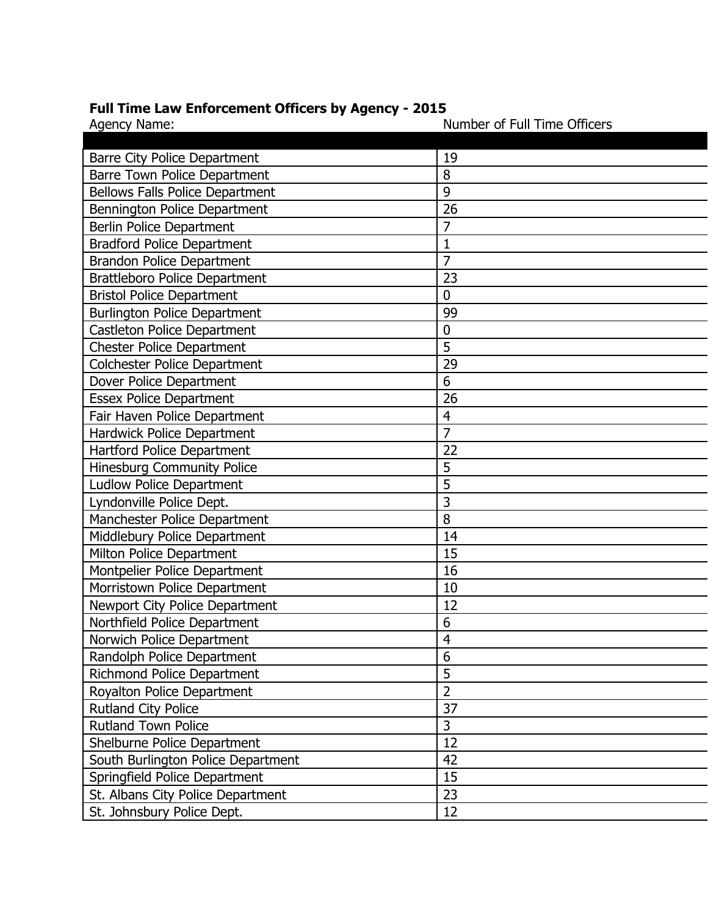## **Full Time Law Enforcement Officers by Agency - 2015**

| Agency Name:                           | Number of Full Time Officers |
|----------------------------------------|------------------------------|
|                                        |                              |
| <b>Barre City Police Department</b>    | 19                           |
| Barre Town Police Department           | 8                            |
| <b>Bellows Falls Police Department</b> | 9                            |
| Bennington Police Department           | 26                           |
| <b>Berlin Police Department</b>        | 7                            |
| <b>Bradford Police Department</b>      | 1                            |
| <b>Brandon Police Department</b>       | 7                            |
| <b>Brattleboro Police Department</b>   | 23                           |
| <b>Bristol Police Department</b>       | $\mathbf 0$                  |
| <b>Burlington Police Department</b>    | 99                           |
| <b>Castleton Police Department</b>     | $\mathbf 0$                  |
| <b>Chester Police Department</b>       | 5                            |
| <b>Colchester Police Department</b>    | 29                           |
| Dover Police Department                | 6                            |
| <b>Essex Police Department</b>         | 26                           |
| Fair Haven Police Department           | $\overline{4}$               |
| <b>Hardwick Police Department</b>      | $\overline{7}$               |
| Hartford Police Department             | 22                           |
| <b>Hinesburg Community Police</b>      | 5                            |
| <b>Ludlow Police Department</b>        | 5                            |
| Lyndonville Police Dept.               | 3                            |
| Manchester Police Department           | 8                            |
| Middlebury Police Department           | 14                           |
| Milton Police Department               | 15                           |
| Montpelier Police Department           | 16                           |
| Morristown Police Department           | 10                           |
| Newport City Police Department         | 12                           |
| Northfield Police Department           | 6                            |
| Norwich Police Department              | $\overline{4}$               |
| Randolph Police Department             | 6                            |
| Richmond Police Department             | 5                            |
| Royalton Police Department             | $\overline{2}$               |
| <b>Rutland City Police</b>             | 37                           |
| <b>Rutland Town Police</b>             | 3                            |
| Shelburne Police Department            | 12                           |
| South Burlington Police Department     | 42                           |
| Springfield Police Department          | 15                           |
| St. Albans City Police Department      | 23                           |
| St. Johnsbury Police Dept.             | 12                           |